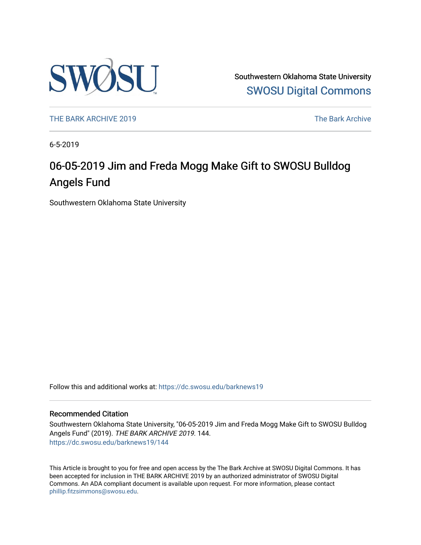

Southwestern Oklahoma State University [SWOSU Digital Commons](https://dc.swosu.edu/) 

[THE BARK ARCHIVE 2019](https://dc.swosu.edu/barknews19) The Bark Archive

6-5-2019

## 06-05-2019 Jim and Freda Mogg Make Gift to SWOSU Bulldog Angels Fund

Southwestern Oklahoma State University

Follow this and additional works at: [https://dc.swosu.edu/barknews19](https://dc.swosu.edu/barknews19?utm_source=dc.swosu.edu%2Fbarknews19%2F144&utm_medium=PDF&utm_campaign=PDFCoverPages)

#### Recommended Citation

Southwestern Oklahoma State University, "06-05-2019 Jim and Freda Mogg Make Gift to SWOSU Bulldog Angels Fund" (2019). THE BARK ARCHIVE 2019. 144. [https://dc.swosu.edu/barknews19/144](https://dc.swosu.edu/barknews19/144?utm_source=dc.swosu.edu%2Fbarknews19%2F144&utm_medium=PDF&utm_campaign=PDFCoverPages)

This Article is brought to you for free and open access by the The Bark Archive at SWOSU Digital Commons. It has been accepted for inclusion in THE BARK ARCHIVE 2019 by an authorized administrator of SWOSU Digital Commons. An ADA compliant document is available upon request. For more information, please contact [phillip.fitzsimmons@swosu.edu](mailto:phillip.fitzsimmons@swosu.edu).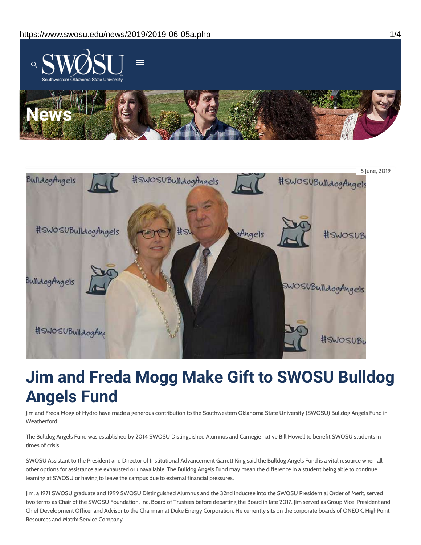



# **Jim and Freda Mogg Make Gift to SWOSU Bulldog Angels Fund**

Jim and Freda Mogg of Hydro have made a generous contribution to the Southwestern Oklahoma State University (SWOSU) Bulldog Angels Fund in Weatherford.

The Bulldog Angels Fund was established by 2014 SWOSU Distinguished Alumnus and Carnegie native Bill Howell to benefit SWOSU students in times of crisis.

SWOSU Assistant to the President and Director of Institutional Advancement Garrett King said the Bulldog Angels Fund is a vital resource when all other options for assistance are exhausted or unavailable. The Bulldog Angels Fund may mean the difference in a student being able to continue learning at SWOSU or having to leave the campus due to external financial pressures.

Jim, a 1971 SWOSU graduate and 1999 SWOSU Distinguished Alumnus and the 32nd inductee into the SWOSU Presidential Order of Merit, served two terms as Chair of the SWOSU Foundation, Inc. Board of Trustees before departing the Board in late 2017. Jim served as Group Vice-President and Chief Development Officer and Advisor to the Chairman at Duke Energy Corporation. He currently sits on the corporate boards of ONEOK, HighPoint Resources and Matrix Service Company.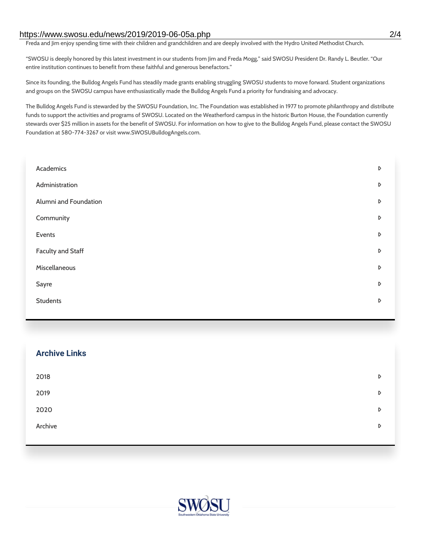#### https://www.swosu.edu/news/2019/2019-06-05a.php 2/4

Freda and Jim enjoy spending time with their children and grandchildren and are deeply involved with the Hydro United Methodist Church.

"SWOSU is deeply honored by this latest investment in our students from Jim and Freda Mogg," said SWOSU President Dr. Randy L. Beutler. "Our entire institution continues to benefit from these faithful and generous benefactors."

Since its founding, the Bulldog Angels Fund has steadily made grants enabling struggling SWOSU students to move forward. Student organizations and groups on the SWOSU campus have enthusiastically made the Bulldog Angels Fund a priority for fundraising and advocacy.

The Bulldog Angels Fund is stewarded by the SWOSU Foundation, Inc. The Foundation was established in 1977 to promote philanthropy and distribute funds to support the activities and programs of SWOSU. Located on the Weatherford campus in the historic Burton House, the Foundation currently stewards over \$25 million in assets for the benefit of SWOSU. For information on how to give to the Bulldog Angels Fund, please contact the SWOSU Foundation at 580-774-3267 or visit www.SWOSUBulldogAngels.com.

| Academics                | D |
|--------------------------|---|
| Administration           | D |
| Alumni and Foundation    | D |
| Community                | D |
| Events                   | D |
| <b>Faculty and Staff</b> | D |
| Miscellaneous            | D |
| Sayre                    | D |
| <b>Students</b>          | D |
|                          |   |

| <b>Archive Links</b> |   |
|----------------------|---|
| 2018                 | D |
| 2019                 | D |
| 2020                 | D |
| Archive              | D |
|                      |   |

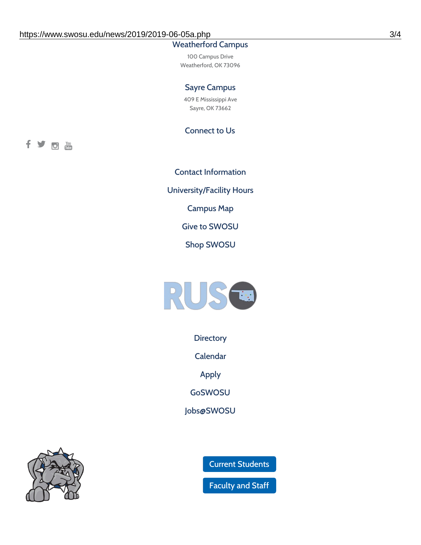### Weatherford Campus

100 Campus Drive Weatherford, OK 73096

#### Sayre Campus

409 E Mississippi Ave Sayre, OK 73662

Connect to Us

fyom

Contact [Information](https://www.swosu.edu/about/contact.php) [University/Facility](https://www.swosu.edu/about/operating-hours.php) Hours [Campus](https://map.concept3d.com/?id=768#!ct/10964,10214,10213,10212,10205,10204,10203,10202,10136,10129,10128,0,31226,10130,10201,10641,0) Map Give to [SWOSU](https://standingfirmly.com/donate) Shop [SWOSU](https://shopswosu.merchorders.com/)



**[Directory](https://www.swosu.edu/directory/index.php)** 

[Calendar](https://eventpublisher.dudesolutions.com/swosu/)

[Apply](https://www.swosu.edu/admissions/apply-to-swosu.php)

[GoSWOSU](https://qlsso.quicklaunchsso.com/home/1267)

[Jobs@SWOSU](https://swosu.csod.com/ux/ats/careersite/1/home?c=swosu)



Current [Students](https://bulldog.swosu.edu/index.php)

[Faculty](https://bulldog.swosu.edu/faculty-staff/index.php) and Staff